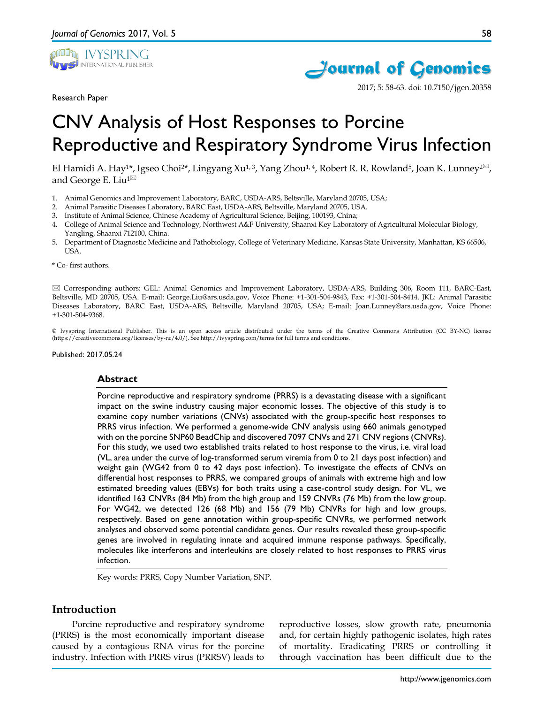

Research Paper





2017; 5: 58-63. doi: 10.7150/jgen.20358

# CNV Analysis of Host Responses to Porcine Reproductive and Respiratory Syndrome Virus Infection

El Hamidi A. Hay<sup>1\*</sup>, Igseo Choi<sup>2\*</sup>, Lingyang Xu<sup>1, 3</sup>, Yang Zhou<sup>1, 4</sup>, Robert R. R. Rowland<sup>5</sup>, Joan K. Lunney<sup>2 $\boxtimes$ </sup>, and George E. Liu<sup>1 $\bowtie$ </sup>

- 1. Animal Genomics and Improvement Laboratory, BARC, USDA-ARS, Beltsville, Maryland 20705, USA;
- 2. Animal Parasitic Diseases Laboratory, BARC East, USDA-ARS, Beltsville, Maryland 20705, USA.
- 3. Institute of Animal Science, Chinese Academy of Agricultural Science, Beijing, 100193, China;
- 4. College of Animal Science and Technology, Northwest A&F University, Shaanxi Key Laboratory of Agricultural Molecular Biology, Yangling, Shaanxi 712100, China.
- 5. Department of Diagnostic Medicine and Pathobiology, College of Veterinary Medicine, Kansas State University, Manhattan, KS 66506, USA.

\* Co- first authors.

 Corresponding authors: GEL: Animal Genomics and Improvement Laboratory, USDA-ARS, Building 306, Room 111, BARC-East, Beltsville, MD 20705, USA. E-mail: George.Liu@ars.usda.gov, Voice Phone: +1-301-504-9843, Fax: +1-301-504-8414. JKL: Animal Parasitic Diseases Laboratory, BARC East, USDA-ARS, Beltsville, Maryland 20705, USA; E-mail: Joan.Lunney@ars.usda.gov, Voice Phone: +1-301-504-9368.

© Ivyspring International Publisher. This is an open access article distributed under the terms of the Creative Commons Attribution (CC BY-NC) license (https://creativecommons.org/licenses/by-nc/4.0/). See http://ivyspring.com/terms for full terms and conditions.

Published: 2017.05.24

#### **Abstract**

Porcine reproductive and respiratory syndrome (PRRS) is a devastating disease with a significant impact on the swine industry causing major economic losses. The objective of this study is to examine copy number variations (CNVs) associated with the group-specific host responses to PRRS virus infection. We performed a genome-wide CNV analysis using 660 animals genotyped with on the porcine SNP60 BeadChip and discovered 7097 CNVs and 271 CNV regions (CNVRs). For this study, we used two established traits related to host response to the virus, i.e. viral load (VL, area under the curve of log-transformed serum viremia from 0 to 21 days post infection) and weight gain (WG42 from 0 to 42 days post infection). To investigate the effects of CNVs on differential host responses to PRRS, we compared groups of animals with extreme high and low estimated breeding values (EBVs) for both traits using a case-control study design. For VL, we identified 163 CNVRs (84 Mb) from the high group and 159 CNVRs (76 Mb) from the low group. For WG42, we detected 126 (68 Mb) and 156 (79 Mb) CNVRs for high and low groups, respectively. Based on gene annotation within group-specific CNVRs, we performed network analyses and observed some potential candidate genes. Our results revealed these group-specific genes are involved in regulating innate and acquired immune response pathways. Specifically, molecules like interferons and interleukins are closely related to host responses to PRRS virus infection.

Key words: PRRS, Copy Number Variation, SNP.

#### **Introduction**

Porcine reproductive and respiratory syndrome (PRRS) is the most economically important disease caused by a contagious RNA virus for the porcine industry. Infection with PRRS virus (PRRSV) leads to reproductive losses, slow growth rate, pneumonia and, for certain highly pathogenic isolates, high rates of mortality. Eradicating PRRS or controlling it through vaccination has been difficult due to the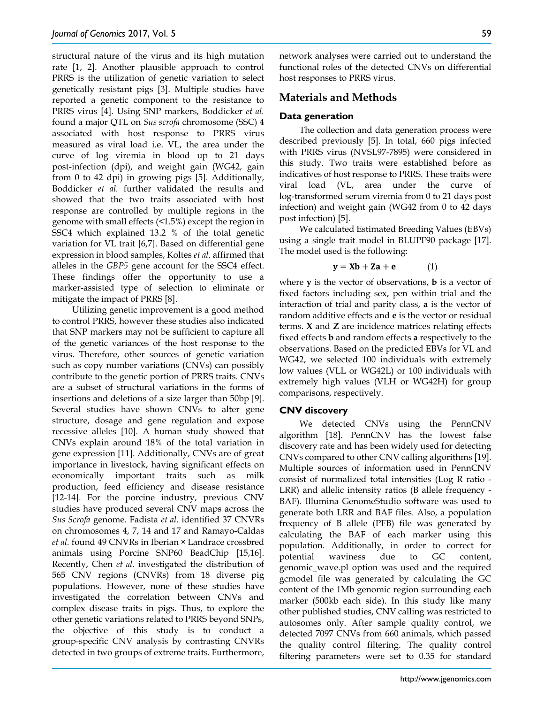structural nature of the virus and its high mutation rate [1, 2]. Another plausible approach to control PRRS is the utilization of genetic variation to select genetically resistant pigs [3]. Multiple studies have reported a genetic component to the resistance to PRRS virus [4]. Using SNP markers, Boddicker *et al.* found a major QTL on *Sus scrofa* chromosome (SSC) 4 associated with host response to PRRS virus measured as viral load i.e. VL, the area under the curve of log viremia in blood up to 21 days post-infection (dpi), and weight gain (WG42, gain from 0 to 42 dpi) in growing pigs [5]. Additionally, Boddicker *et al.* further validated the results and showed that the two traits associated with host response are controlled by multiple regions in the genome with small effects (<1.5%) except the region in SSC4 which explained 13.2 % of the total genetic variation for VL trait [6,7]. Based on differential gene expression in blood samples, Koltes *et al.* affirmed that alleles in the *GBP5* gene account for the SSC4 effect. These findings offer the opportunity to use a marker-assisted type of selection to eliminate or mitigate the impact of PRRS [8].

Utilizing genetic improvement is a good method to control PRRS, however these studies also indicated that SNP markers may not be sufficient to capture all of the genetic variances of the host response to the virus. Therefore, other sources of genetic variation such as copy number variations (CNVs) can possibly contribute to the genetic portion of PRRS traits. CNVs are a subset of structural variations in the forms of insertions and deletions of a size larger than 50bp [9]. Several studies have shown CNVs to alter gene structure, dosage and gene regulation and expose recessive alleles [10]. A human study showed that CNVs explain around 18% of the total variation in gene expression [11]. Additionally, CNVs are of great importance in livestock, having significant effects on economically important traits such as milk production, feed efficiency and disease resistance [12-14]. For the porcine industry, previous CNV studies have produced several CNV maps across the *Sus Scrofa* genome. Fadista *et al.* identified 37 CNVRs on chromosomes 4, 7, 14 and 17 and Ramayo-Caldas *et al.* found 49 CNVRs in Iberian × Landrace crossbred animals using Porcine SNP60 BeadChip [15,16]. Recently, Chen *et al.* investigated the distribution of 565 CNV regions (CNVRs) from 18 diverse pig populations. However, none of these studies have investigated the correlation between CNVs and complex disease traits in pigs. Thus, to explore the other genetic variations related to PRRS beyond SNPs, the objective of this study is to conduct a group-specific CNV analysis by contrasting CNVRs detected in two groups of extreme traits. Furthermore,

network analyses were carried out to understand the functional roles of the detected CNVs on differential host responses to PRRS virus.

## **Materials and Methods**

### **Data generation**

The collection and data generation process were described previously [5]. In total, 660 pigs infected with PRRS virus (NVSL97-7895) were considered in this study. Two traits were established before as indicatives of host response to PRRS. These traits were viral load (VL, area under the curve of log-transformed serum viremia from 0 to 21 days post infection) and weight gain (WG42 from 0 to 42 days post infection) [5].

We calculated Estimated Breeding Values (EBVs) using a single trait model in BLUPF90 package [17]. The model used is the following:

$$
y = Xb + Za + e \tag{1}
$$

where **y** is the vector of observations, **b** is a vector of fixed factors including sex, pen within trial and the interaction of trial and parity class, **a** is the vector of random additive effects and **e** is the vector or residual terms. **X** and **Z** are incidence matrices relating effects fixed effects **b** and random effects **a** respectively to the observations. Based on the predicted EBVs for VL and WG42, we selected 100 individuals with extremely low values (VLL or WG42L) or 100 individuals with extremely high values (VLH or WG42H) for group comparisons, respectively.

#### **CNV discovery**

We detected CNVs using the PennCNV algorithm [18]. PennCNV has the lowest false discovery rate and has been widely used for detecting CNVs compared to other CNV calling algorithms [19]. Multiple sources of information used in PennCNV consist of normalized total intensities (Log R ratio - LRR) and allelic intensity ratios (B allele frequency - BAF). Illumina GenomeStudio software was used to generate both LRR and BAF files. Also, a population frequency of B allele (PFB) file was generated by calculating the BAF of each marker using this population. Additionally, in order to correct for potential waviness due to GC content, genomic\_wave.pl option was used and the required gcmodel file was generated by calculating the GC content of the 1Mb genomic region surrounding each marker (500kb each side). In this study like many other published studies, CNV calling was restricted to autosomes only. After sample quality control, we detected 7097 CNVs from 660 animals, which passed the quality control filtering. The quality control filtering parameters were set to 0.35 for standard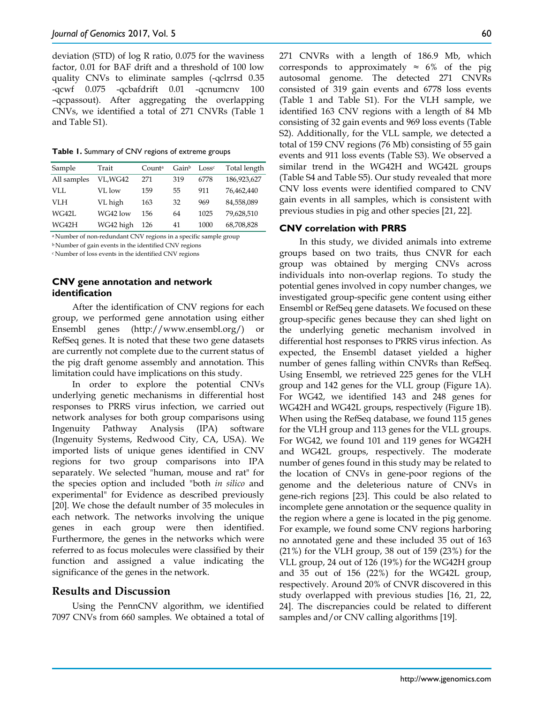deviation (STD) of log R ratio, 0.075 for the waviness factor, 0.01 for BAF drift and a threshold of 100 low quality CNVs to eliminate samples (-qclrrsd 0.35 -qcwf 0.075 -qcbafdrift 0.01 -qcnumcnv 100 –qcpassout). After aggregating the overlapping CNVs, we identified a total of 271 CNVRs (Table 1 and Table S1).

**Table 1.** Summary of CNV regions of extreme groups

| Sample      | Trait     | Counta | Gain <sup>b</sup> | Loss <sup>c</sup> | Total length |
|-------------|-----------|--------|-------------------|-------------------|--------------|
| All samples | VL,WG42   | 271    | 319               | 6778              | 186,923,627  |
| VLL.        | VL low    | 159    | 55                | 911               | 76.462.440   |
| VI H        | VL high   | 163    | 32                | 969               | 84,558,089   |
| WG42L       | WG42 low  | 156    | 64                | 1025              | 79,628,510   |
| WG42H       | WG42 high | 126    | 41                | 1000              | 68,708,828   |

a Number of non-redundant CNV regions in a specific sample group

b Number of gain events in the identified CNV regions

c Number of loss events in the identified CNV regions

## **CNV gene annotation and network identification**

After the identification of CNV regions for each group, we performed gene annotation using either Ensembl genes (http://www.ensembl.org/) or RefSeq genes. It is noted that these two gene datasets are currently not complete due to the current status of the pig draft genome assembly and annotation. This limitation could have implications on this study.

In order to explore the potential CNVs underlying genetic mechanisms in differential host responses to PRRS virus infection, we carried out network analyses for both group comparisons using Ingenuity Pathway Analysis (IPA) software (Ingenuity Systems, Redwood City, CA, USA). We imported lists of unique genes identified in CNV regions for two group comparisons into IPA separately. We selected "human, mouse and rat" for the species option and included "both *in silico* and experimental" for Evidence as described previously [20]. We chose the default number of 35 molecules in each network. The networks involving the unique genes in each group were then identified. Furthermore, the genes in the networks which were referred to as focus molecules were classified by their function and assigned a value indicating the significance of the genes in the network.

## **Results and Discussion**

Using the PennCNV algorithm, we identified 7097 CNVs from 660 samples. We obtained a total of 271 CNVRs with a length of 186.9 Mb, which corresponds to approximately  $\approx$  6% of the pig autosomal genome. The detected 271 CNVRs consisted of 319 gain events and 6778 loss events (Table 1 and Table S1). For the VLH sample, we identified 163 CNV regions with a length of 84 Mb consisting of 32 gain events and 969 loss events (Table S2). Additionally, for the VLL sample, we detected a total of 159 CNV regions (76 Mb) consisting of 55 gain events and 911 loss events (Table S3). We observed a similar trend in the WG42H and WG42L groups (Table S4 and Table S5). Our study revealed that more CNV loss events were identified compared to CNV gain events in all samples, which is consistent with previous studies in pig and other species [21, 22].

#### **CNV correlation with PRRS**

In this study, we divided animals into extreme groups based on two traits, thus CNVR for each group was obtained by merging CNVs across individuals into non-overlap regions. To study the potential genes involved in copy number changes, we investigated group-specific gene content using either Ensembl or RefSeq gene datasets. We focused on these group-specific genes because they can shed light on the underlying genetic mechanism involved in differential host responses to PRRS virus infection. As expected, the Ensembl dataset yielded a higher number of genes falling within CNVRs than RefSeq. Using Ensembl, we retrieved 225 genes for the VLH group and 142 genes for the VLL group (Figure 1A). For WG42, we identified 143 and 248 genes for WG42H and WG42L groups, respectively (Figure 1B). When using the RefSeq database, we found 115 genes for the VLH group and 113 genes for the VLL groups. For WG42, we found 101 and 119 genes for WG42H and WG42L groups, respectively. The moderate number of genes found in this study may be related to the location of CNVs in gene-poor regions of the genome and the deleterious nature of CNVs in gene-rich regions [23]. This could be also related to incomplete gene annotation or the sequence quality in the region where a gene is located in the pig genome. For example, we found some CNV regions harboring no annotated gene and these included 35 out of 163 (21%) for the VLH group, 38 out of 159 (23%) for the VLL group, 24 out of 126 (19%) for the WG42H group and 35 out of 156 (22%) for the WG42L group, respectively. Around 20% of CNVR discovered in this study overlapped with previous studies [16, 21, 22, 24]. The discrepancies could be related to different samples and/or CNV calling algorithms [19].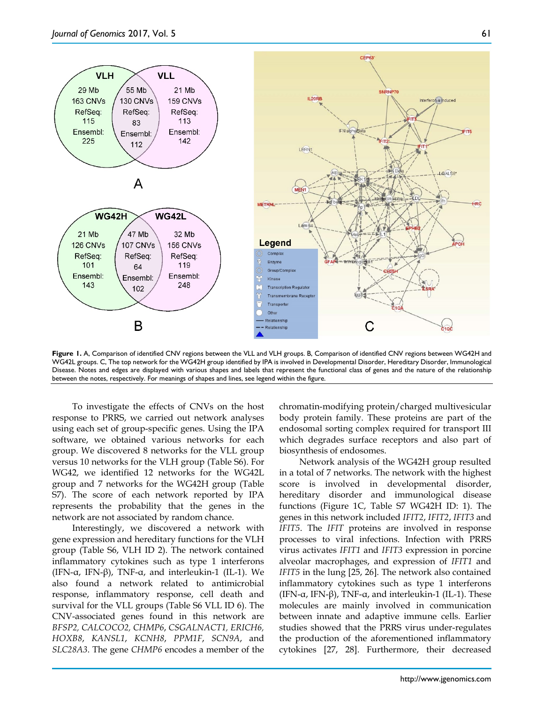



**Figure 1.** A, Comparison of identified CNV regions between the VLL and VLH groups. B, Comparison of identified CNV regions between WG42H and WG42L groups. C, The top network for the WG42H group identified by IPA is involved in Developmental Disorder, Hereditary Disorder, Immunological Disease. Notes and edges are displayed with various shapes and labels that represent the functional class of genes and the nature of the relationship between the notes, respectively. For meanings of shapes and lines, see legend within the figure.

To investigate the effects of CNVs on the host response to PRRS, we carried out network analyses using each set of group-specific genes. Using the IPA software, we obtained various networks for each group. We discovered 8 networks for the VLL group versus 10 networks for the VLH group (Table S6). For WG42, we identified 12 networks for the WG42L group and 7 networks for the WG42H group (Table S7). The score of each network reported by IPA represents the probability that the genes in the network are not associated by random chance.

Interestingly, we discovered a network with gene expression and hereditary functions for the VLH group (Table S6, VLH ID 2). The network contained inflammatory cytokines such as type 1 interferons (IFN- $\alpha$ , IFN- $\beta$ ), TNF- $\alpha$ , and interleukin-1 (IL-1). We also found a network related to antimicrobial response, inflammatory response, cell death and survival for the VLL groups (Table S6 VLL ID 6). The CNV-associated genes found in this network are *BFSP2, CALCOCO2, CHMP6*, *CSGALNACT1, ERICH6, HOXB8*, *KANSL1*, *KCNH8*, *PPM1F*, *SCN9A*, and *SLC28A3*. The gene *CHMP6* encodes a member of the

chromatin-modifying protein/charged multivesicular body protein family. These proteins are part of the endosomal sorting complex required for transport III which degrades surface receptors and also part of biosynthesis of endosomes.

Network analysis of the WG42H group resulted in a total of 7 networks. The network with the highest score is involved in developmental disorder, hereditary disorder and immunological disease functions (Figure 1C, Table S7 WG42H ID: 1). The genes in this network included *IFIT2*, *IFIT2*, *IFIT3* and *IFIT5*. The *IFIT* proteins are involved in response processes to viral infections. Infection with PRRS virus activates *IFIT1* and *IFIT3* expression in porcine alveolar macrophages, and expression of *IFIT1* and *IFIT5* in the lung [25, 26]. The network also contained inflammatory cytokines such as type 1 interferons (IFN-α, IFN-β), TNF-α, and interleukin-1 (IL-1). These molecules are mainly involved in communication between innate and adaptive immune cells. Earlier studies showed that the PRRS virus under-regulates the production of the aforementioned inflammatory cytokines [27, 28]. Furthermore, their decreased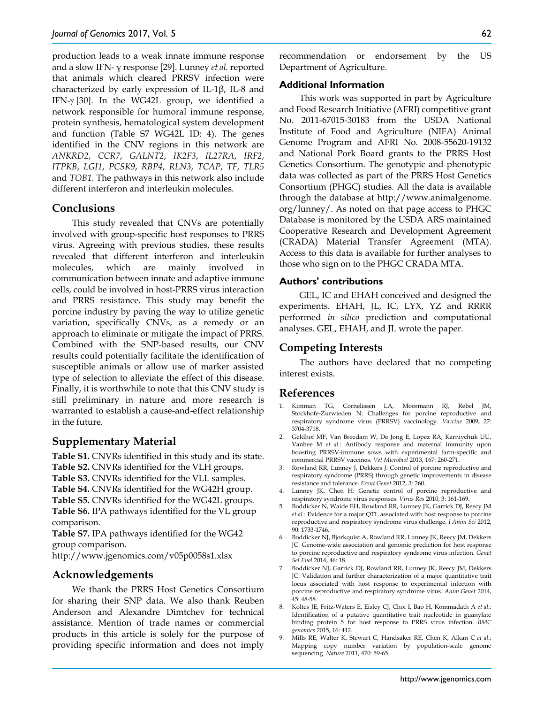production leads to a weak innate immune response and a slow IFN- γ response [29]. Lunney *et al.* reported that animals which cleared PRRSV infection were characterized by early expression of IL-1β, IL-8 and IFN-γ [30]. In the WG42L group, we identified a network responsible for humoral immune response, protein synthesis, hematological system development and function (Table S7 WG42L ID: 4). The genes identified in the CNV regions in this network are *ANKRD2*, *CCR7*, *GALNT2*, *IK2F3*, *IL27RA*, *IRF2*, *ITPKB*, *LGI1*, *PCSK9*, *RBP4*, *RLN3*, *TCAP*, *TF*, *TLR5* and *TOB1*. The pathways in this network also include different interferon and interleukin molecules.

## **Conclusions**

This study revealed that CNVs are potentially involved with group-specific host responses to PRRS virus. Agreeing with previous studies, these results revealed that different interferon and interleukin molecules, which are mainly involved in communication between innate and adaptive immune cells, could be involved in host-PRRS virus interaction and PRRS resistance. This study may benefit the porcine industry by paving the way to utilize genetic variation, specifically CNVs, as a remedy or an approach to eliminate or mitigate the impact of PRRS. Combined with the SNP-based results, our CNV results could potentially facilitate the identification of susceptible animals or allow use of marker assisted type of selection to alleviate the effect of this disease. Finally, it is worthwhile to note that this CNV study is still preliminary in nature and more research is warranted to establish a cause-and-effect relationship in the future.

## **Supplementary Material**

**Table S1.** CNVRs identified in this study and its state. **Table S2.** CNVRs identified for the VLH groups. **Table S3.** CNVRs identified for the VLL samples. **Table S4.** CNVRs identified for the WG42H group. **Table S5.** CNVRs identified for the WG42L groups. **Table S6.** IPA pathways identified for the VL group comparison.

**Table S7.** IPA pathways identified for the WG42 group comparison.

http://www.jgenomics.com/v05p0058s1.xlsx

## **Acknowledgements**

We thank the PRRS Host Genetics Consortium for sharing their SNP data. We also thank Reuben Anderson and Alexandre Dimtchev for technical assistance. Mention of trade names or commercial products in this article is solely for the purpose of providing specific information and does not imply

recommendation or endorsement by the US Department of Agriculture.

#### **Additional Information**

This work was supported in part by Agriculture and Food Research Initiative (AFRI) competitive grant No. 2011-67015-30183 from the USDA National Institute of Food and Agriculture (NIFA) Animal Genome Program and AFRI No. 2008-55620-19132 and National Pork Board grants to the PRRS Host Genetics Consortium. The genotypic and phenotypic data was collected as part of the PRRS Host Genetics Consortium (PHGC) studies. All the data is available through the database at http://www.animalgenome. org/lunney/. As noted on that page access to PHGC Database is monitored by the USDA ARS maintained Cooperative Research and Development Agreement (CRADA) Material Transfer Agreement (MTA). Access to this data is available for further analyses to those who sign on to the PHGC CRADA MTA.

#### **Authors' contributions**

GEL, IC and EHAH conceived and designed the experiments. EHAH, JL, IC, LYX, YZ and RRRR performed *in silico* prediction and computational analyses. GEL, EHAH, and JL wrote the paper.

## **Competing Interests**

The authors have declared that no competing interest exists.

#### **References**

- 1. Kimman TG, Cornelissen LA, Moormann RJ, Rebel JM, Stockhofe-Zurwieden N: Challenges for porcine reproductive and respiratory syndrome virus (PRRSV) vaccinology. *Vaccine* 2009, 27: 3704-3718.
- 2. Geldhof MF, Van Breedam W, De Jong E, Lopez RA, Karniychuk UU, Vanhee M *et al*.: Antibody response and maternal immunity upon boosting PRRSV-immune sows with experimental farm-specific and commercial PRRSV vaccines. *Vet Microbiol* 2013, 167: 260-271.
- 3. Rowland RR, Lunney J, Dekkers J: Control of porcine reproductive and respiratory syndrome (PRRS) through genetic improvements in disease resistance and tolerance. *Front Genet* 2012, 3: 260.
- 4. Lunney JK, Chen H: Genetic control of porcine reproductive and respiratory syndrome virus responses. *Virus Res* 2010, 3: 161-169.
- 5. Boddicker N, Waide EH, Rowland RR, Lunney JK, Garrick DJ, Reecy JM *et al*.: Evidence for a major QTL associated with host response to porcine reproductive and respiratory syndrome virus challenge. *J Anim Sci* 2012, 90: 1733-1746.
- 6. Boddicker NJ, Bjorkquist A, Rowland RR, Lunney JK, Reecy JM, Dekkers JC: Genome-wide association and genomic prediction for host response to porcine reproductive and respiratory syndrome virus infection. *Genet Sel Evol* 2014, 46: 18.
- 7. Boddicker NJ, Garrick DJ, Rowland RR, Lunney JK, Reecy JM, Dekkers JC: Validation and further characterization of a major quantitative trait locus associated with host response to experimental infection with porcine reproductive and respiratory syndrome virus. *Anim Genet* 2014,  $45:48-58$
- 8. Koltes JE, Fritz-Waters E, Eisley CJ, Choi I, Bao H, Kommadath A *et al*.: Identification of a putative quantitative trait nucleotide in guanylate binding protein 5 for host response to PRRS virus infection. *BMC genomics* 2015, 16: 412.
- 9. Mills RE, Walter K, Stewart C, Handsaker RE, Chen K, Alkan C *et al*.: Mapping copy number variation by population-scale genome sequencing. *Nature* 2011, 470: 59-65.